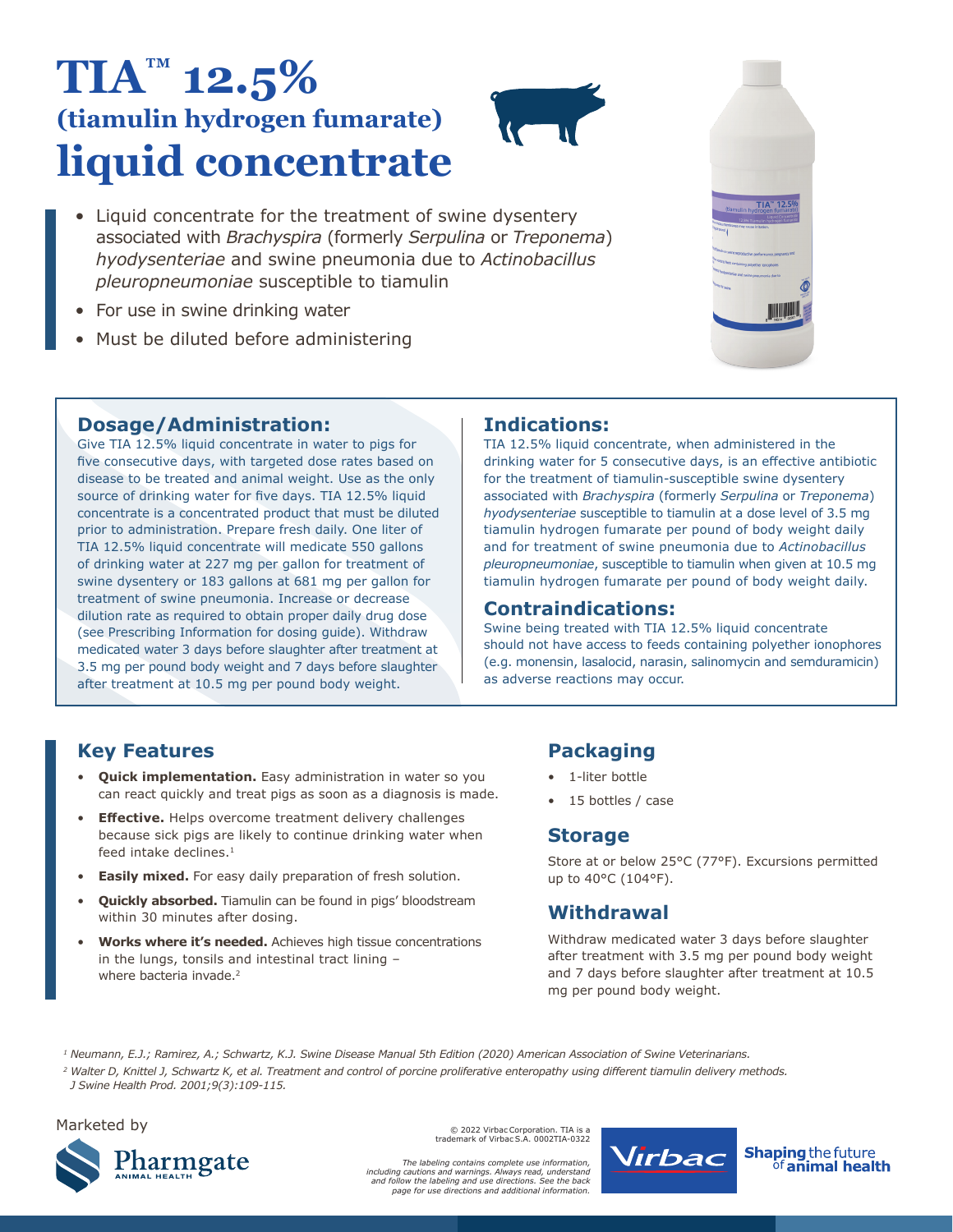# **TIA™ 12.5% (tiamulin hydrogen fumarate) liquid concentrate**

- 
- Liquid concentrate for the treatment of swine dysentery associated with *Brachyspira* (formerly *Serpulina* or *Treponema*) *hyodysenteriae* and swine pneumonia due to *Actinobacillus pleuropneumoniae* susceptible to tiamulin
- For use in swine drinking water
- Must be diluted before administering



### **Dosage/Administration:**

Give TIA 12.5% liquid concentrate in water to pigs for five consecutive days, with targeted dose rates based on disease to be treated and animal weight. Use as the only source of drinking water for five days. TIA 12.5% liquid concentrate is a concentrated product that must be diluted prior to administration. Prepare fresh daily. One liter of TIA 12.5% liquid concentrate will medicate 550 gallons of drinking water at 227 mg per gallon for treatment of swine dysentery or 183 gallons at 681 mg per gallon for treatment of swine pneumonia. Increase or decrease dilution rate as required to obtain proper daily drug dose (see Prescribing Information for dosing guide). Withdraw medicated water 3 days before slaughter after treatment at 3.5 mg per pound body weight and 7 days before slaughter after treatment at 10.5 mg per pound body weight.

### **Indications:**

TIA 12.5% liquid concentrate, when administered in the drinking water for 5 consecutive days, is an effective antibiotic for the treatment of tiamulin-susceptible swine dysentery associated with *Brachyspira* (formerly *Serpulina* or *Treponema*) *hyodysenteriae* susceptible to tiamulin at a dose level of 3.5 mg tiamulin hydrogen fumarate per pound of body weight daily and for treatment of swine pneumonia due to *Actinobacillus pleuropneumoniae*, susceptible to tiamulin when given at 10.5 mg tiamulin hydrogen fumarate per pound of body weight daily.

### **Contraindications:**

Swine being treated with TIA 12.5% liquid concentrate should not have access to feeds containing polyether ionophores (e.g. monensin, lasalocid, narasin, salinomycin and semduramicin) as adverse reactions may occur.

### **Key Features**

- **Quick implementation.** Easy administration in water so you can react quickly and treat pigs as soon as a diagnosis is made.
- **Effective.** Helps overcome treatment delivery challenges because sick pigs are likely to continue drinking water when feed intake declines.<sup>1</sup>
- **Easily mixed.** For easy daily preparation of fresh solution.
- **Quickly absorbed.** Tiamulin can be found in pigs' bloodstream within 30 minutes after dosing.
- **Works where it's needed.** Achieves high tissue concentrations in the lungs, tonsils and intestinal tract lining – where bacteria invade.<sup>2</sup>

### **Packaging**

- 1-liter bottle
- 15 bottles / case

### **Storage**

Store at or below 25°C (77°F). Excursions permitted up to 40°C (104°F).

### **Withdrawal**

Withdraw medicated water 3 days before slaughter after treatment with 3.5 mg per pound body weight and 7 days before slaughter after treatment at 10.5 mg per pound body weight.

*1 Neumann, E.J.; Ramirez, A.; Schwartz, K.J. Swine Disease Manual 5th Edition (2020) American Association of Swine Veterinarians.*

*<sup>2</sup> Walter D, Knittel J, Schwartz K, et al. Treatment and control of porcine proliferative enteropathy using different tiamulin delivery methods. J Swine Health Prod. 2001;9(3):109-115.*

#### Marketed by



© 2022 Virbac Corporation. TIA is a trademark of Virbac S.A. 0002TIA-0322

*The labeling contains complete use information, including cautions and warnings. Always read, understand and follow the labeling and use directions. See the back page for use directions and additional information.* 



**Shaping the future** <sup>òf</sup>animal health